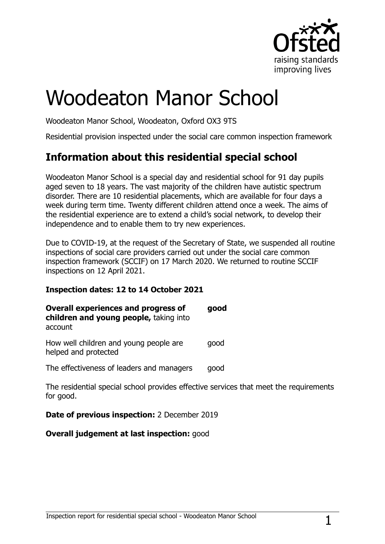

# Woodeaton Manor School

Woodeaton Manor School, Woodeaton, Oxford OX3 9TS

Residential provision inspected under the social care common inspection framework

# **Information about this residential special school**

Woodeaton Manor School is a special day and residential school for 91 day pupils aged seven to 18 years. The vast majority of the children have autistic spectrum disorder. There are 10 residential placements, which are available for four days a week during term time. Twenty different children attend once a week. The aims of the residential experience are to extend a child's social network, to develop their independence and to enable them to try new experiences.

Due to COVID-19, at the request of the Secretary of State, we suspended all routine inspections of social care providers carried out under the social care common inspection framework (SCCIF) on 17 March 2020. We returned to routine SCCIF inspections on 12 April 2021.

#### **Inspection dates: 12 to 14 October 2021**

| <b>Overall experiences and progress of</b><br>children and young people, taking into<br>account | good |
|-------------------------------------------------------------------------------------------------|------|
| How well children and young people are<br>helped and protected                                  | qood |

The effectiveness of leaders and managers good

The residential special school provides effective services that meet the requirements for good.

#### **Date of previous inspection:** 2 December 2019

#### **Overall judgement at last inspection:** good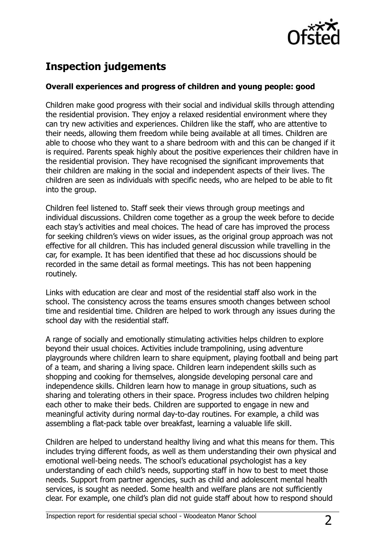

## **Inspection judgements**

#### **Overall experiences and progress of children and young people: good**

Children make good progress with their social and individual skills through attending the residential provision. They enjoy a relaxed residential environment where they can try new activities and experiences. Children like the staff, who are attentive to their needs, allowing them freedom while being available at all times. Children are able to choose who they want to a share bedroom with and this can be changed if it is required. Parents speak highly about the positive experiences their children have in the residential provision. They have recognised the significant improvements that their children are making in the social and independent aspects of their lives. The children are seen as individuals with specific needs, who are helped to be able to fit into the group.

Children feel listened to. Staff seek their views through group meetings and individual discussions. Children come together as a group the week before to decide each stay's activities and meal choices. The head of care has improved the process for seeking children's views on wider issues, as the original group approach was not effective for all children. This has included general discussion while travelling in the car, for example. It has been identified that these ad hoc discussions should be recorded in the same detail as formal meetings. This has not been happening routinely.

Links with education are clear and most of the residential staff also work in the school. The consistency across the teams ensures smooth changes between school time and residential time. Children are helped to work through any issues during the school day with the residential staff.

A range of socially and emotionally stimulating activities helps children to explore beyond their usual choices. Activities include trampolining, using adventure playgrounds where children learn to share equipment, playing football and being part of a team, and sharing a living space. Children learn independent skills such as shopping and cooking for themselves, alongside developing personal care and independence skills. Children learn how to manage in group situations, such as sharing and tolerating others in their space. Progress includes two children helping each other to make their beds. Children are supported to engage in new and meaningful activity during normal day-to-day routines. For example, a child was assembling a flat-pack table over breakfast, learning a valuable life skill.

Children are helped to understand healthy living and what this means for them. This includes trying different foods, as well as them understanding their own physical and emotional well-being needs. The school's educational psychologist has a key understanding of each child's needs, supporting staff in how to best to meet those needs. Support from partner agencies, such as child and adolescent mental health services, is sought as needed. Some health and welfare plans are not sufficiently clear. For example, one child's plan did not guide staff about how to respond should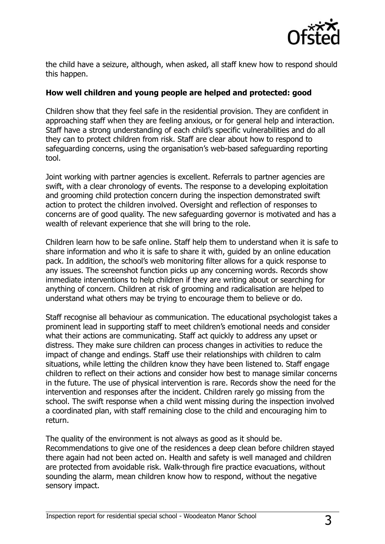

the child have a seizure, although, when asked, all staff knew how to respond should this happen.

#### **How well children and young people are helped and protected: good**

Children show that they feel safe in the residential provision. They are confident in approaching staff when they are feeling anxious, or for general help and interaction. Staff have a strong understanding of each child's specific vulnerabilities and do all they can to protect children from risk. Staff are clear about how to respond to safeguarding concerns, using the organisation's web-based safeguarding reporting tool.

Joint working with partner agencies is excellent. Referrals to partner agencies are swift, with a clear chronology of events. The response to a developing exploitation and grooming child protection concern during the inspection demonstrated swift action to protect the children involved. Oversight and reflection of responses to concerns are of good quality. The new safeguarding governor is motivated and has a wealth of relevant experience that she will bring to the role.

Children learn how to be safe online. Staff help them to understand when it is safe to share information and who it is safe to share it with, guided by an online education pack. In addition, the school's web monitoring filter allows for a quick response to any issues. The screenshot function picks up any concerning words. Records show immediate interventions to help children if they are writing about or searching for anything of concern. Children at risk of grooming and radicalisation are helped to understand what others may be trying to encourage them to believe or do.

Staff recognise all behaviour as communication. The educational psychologist takes a prominent lead in supporting staff to meet children's emotional needs and consider what their actions are communicating. Staff act quickly to address any upset or distress. They make sure children can process changes in activities to reduce the impact of change and endings. Staff use their relationships with children to calm situations, while letting the children know they have been listened to. Staff engage children to reflect on their actions and consider how best to manage similar concerns in the future. The use of physical intervention is rare. Records show the need for the intervention and responses after the incident. Children rarely go missing from the school. The swift response when a child went missing during the inspection involved a coordinated plan, with staff remaining close to the child and encouraging him to return.

The quality of the environment is not always as good as it should be. Recommendations to give one of the residences a deep clean before children stayed there again had not been acted on. Health and safety is well managed and children are protected from avoidable risk. Walk-through fire practice evacuations, without sounding the alarm, mean children know how to respond, without the negative sensory impact.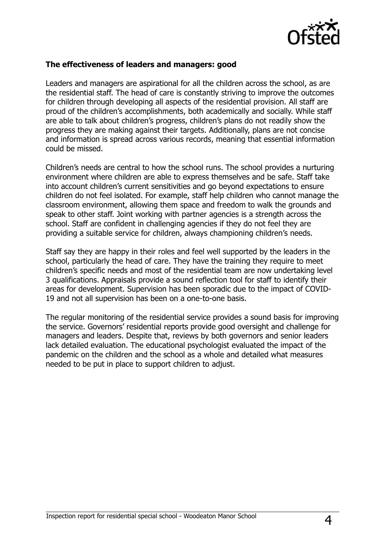

#### **The effectiveness of leaders and managers: good**

Leaders and managers are aspirational for all the children across the school, as are the residential staff. The head of care is constantly striving to improve the outcomes for children through developing all aspects of the residential provision. All staff are proud of the children's accomplishments, both academically and socially. While staff are able to talk about children's progress, children's plans do not readily show the progress they are making against their targets. Additionally, plans are not concise and information is spread across various records, meaning that essential information could be missed.

Children's needs are central to how the school runs. The school provides a nurturing environment where children are able to express themselves and be safe. Staff take into account children's current sensitivities and go beyond expectations to ensure children do not feel isolated. For example, staff help children who cannot manage the classroom environment, allowing them space and freedom to walk the grounds and speak to other staff. Joint working with partner agencies is a strength across the school. Staff are confident in challenging agencies if they do not feel they are providing a suitable service for children, always championing children's needs.

Staff say they are happy in their roles and feel well supported by the leaders in the school, particularly the head of care. They have the training they require to meet children's specific needs and most of the residential team are now undertaking level 3 qualifications. Appraisals provide a sound reflection tool for staff to identify their areas for development. Supervision has been sporadic due to the impact of COVID-19 and not all supervision has been on a one-to-one basis.

The regular monitoring of the residential service provides a sound basis for improving the service. Governors' residential reports provide good oversight and challenge for managers and leaders. Despite that, reviews by both governors and senior leaders lack detailed evaluation. The educational psychologist evaluated the impact of the pandemic on the children and the school as a whole and detailed what measures needed to be put in place to support children to adjust.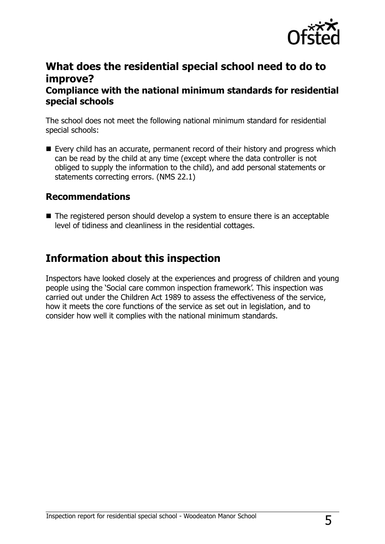

### **What does the residential special school need to do to improve?**

#### **Compliance with the national minimum standards for residential special schools**

The school does not meet the following national minimum standard for residential special schools:

Every child has an accurate, permanent record of their history and progress which can be read by the child at any time (except where the data controller is not obliged to supply the information to the child), and add personal statements or statements correcting errors. (NMS 22.1)

#### **Recommendations**

■ The registered person should develop a system to ensure there is an acceptable level of tidiness and cleanliness in the residential cottages.

## **Information about this inspection**

Inspectors have looked closely at the experiences and progress of children and young people using the 'Social care common inspection framework'. This inspection was carried out under the Children Act 1989 to assess the effectiveness of the service, how it meets the core functions of the service as set out in legislation, and to consider how well it complies with the national minimum standards.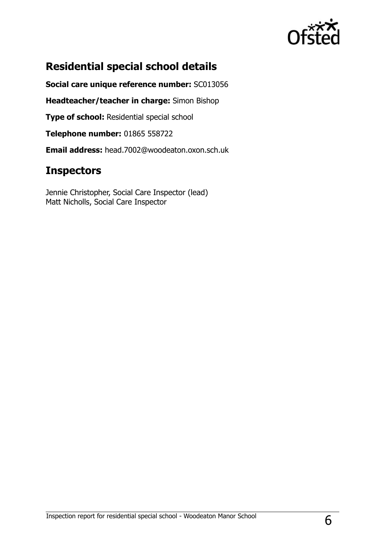

# **Residential special school details**

**Social care unique reference number:** SC013056

**Headteacher/teacher in charge:** Simon Bishop

**Type of school: Residential special school** 

**Telephone number:** 01865 558722

**Email address:** head.7002@woodeaton.oxon.sch.uk

## **Inspectors**

Jennie Christopher, Social Care Inspector (lead) Matt Nicholls, Social Care Inspector